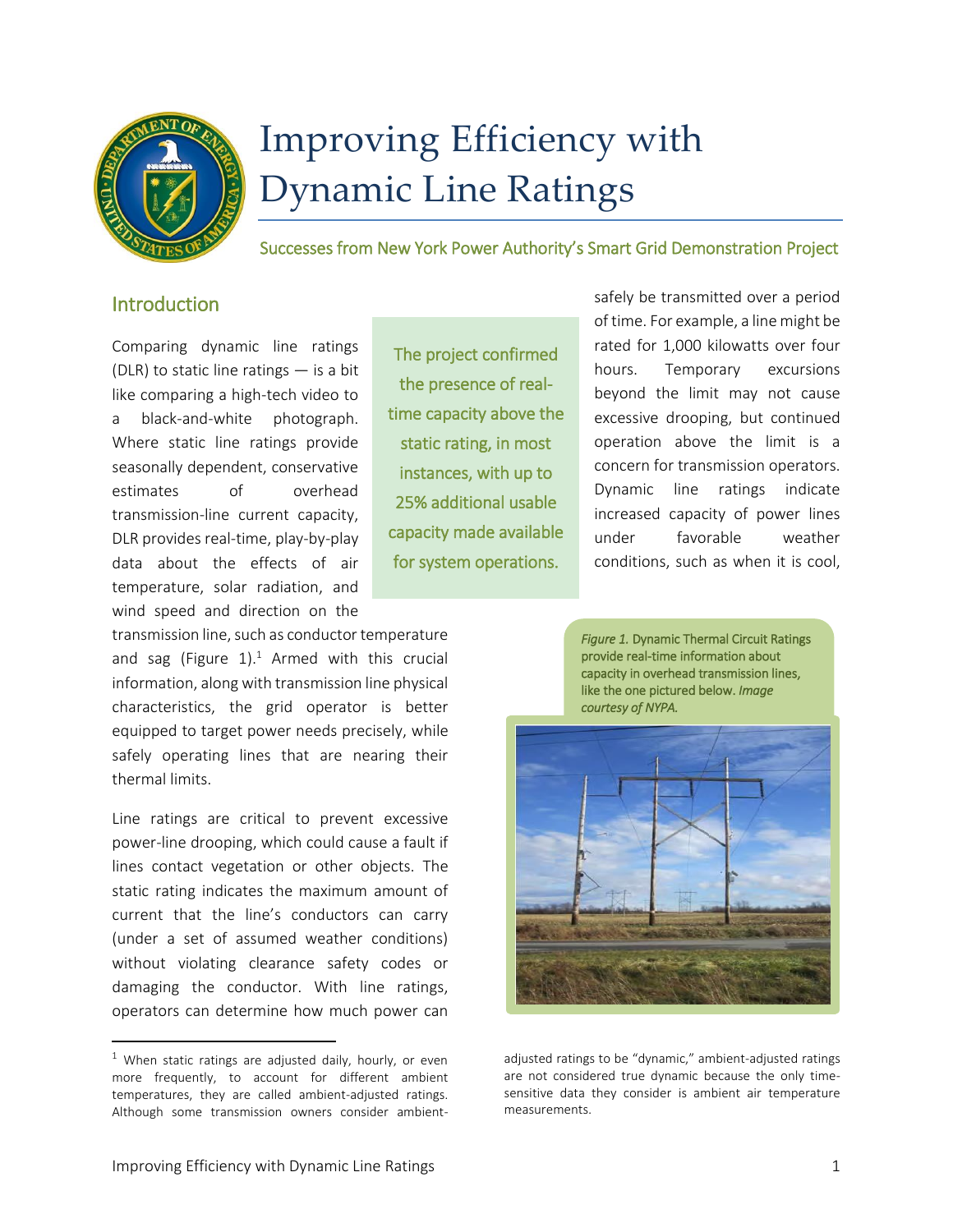

# Improving Efficiency with Dynamic Line Ratings

Successes from New York Power Authority's Smart Grid Demonstration Project

## Introduction

Comparing dynamic line ratings (DLR) to static line ratings  $-$  is a bit like comparing a high-tech video to a black-and-white photograph. Where static line ratings provide seasonally dependent, conservative estimates of overhead transmission-line current capacity, DLR provides real-time, play-by-play data about the effects of air temperature, solar radiation, and wind speed and direction on the

transmission line, such as conductor temperature and sag (Figure  $1$ ).<sup>1</sup> Armed with this crucial information, along with transmission line physical characteristics, the grid operator is better equipped to target power needs precisely, while safely operating lines that are nearing their thermal limits.

Line ratings are critical to prevent excessive power-line drooping, which could cause a fault if lines contact vegetation or other objects. The static rating indicates the maximum amount of current that the line's conductors can carry (under a set of assumed weather conditions) without violating clearance safety codes or damaging the conductor. With line ratings, operators can determine how much power can

 $\overline{\phantom{a}}$ 

The project confirmed the presence of realtime capacity above the static rating, in most instances, with up to 25% additional usable capacity made available for system operations.

safely be transmitted over a period of time. For example, a line might be rated for 1,000 kilowatts over four hours. Temporary excursions beyond the limit may not cause excessive drooping, but continued operation above the limit is a concern for transmission operators. Dynamic line ratings indicate increased capacity of power lines under favorable weather conditions, such as when it is cool,

*Figure 1.* Dynamic Thermal Circuit Ratings provide real-time information about capacity in overhead transmission lines, like the one pictured below. *Image courtesy of NYPA.*



adjusted ratings to be "dynamic," ambient-adjusted ratings are not considered true dynamic because the only timesensitive data they consider is ambient air temperature measurements.

 $1$  When static ratings are adjusted daily, hourly, or even more frequently, to account for different ambient temperatures, they are called ambient-adjusted ratings. Although some transmission owners consider ambient-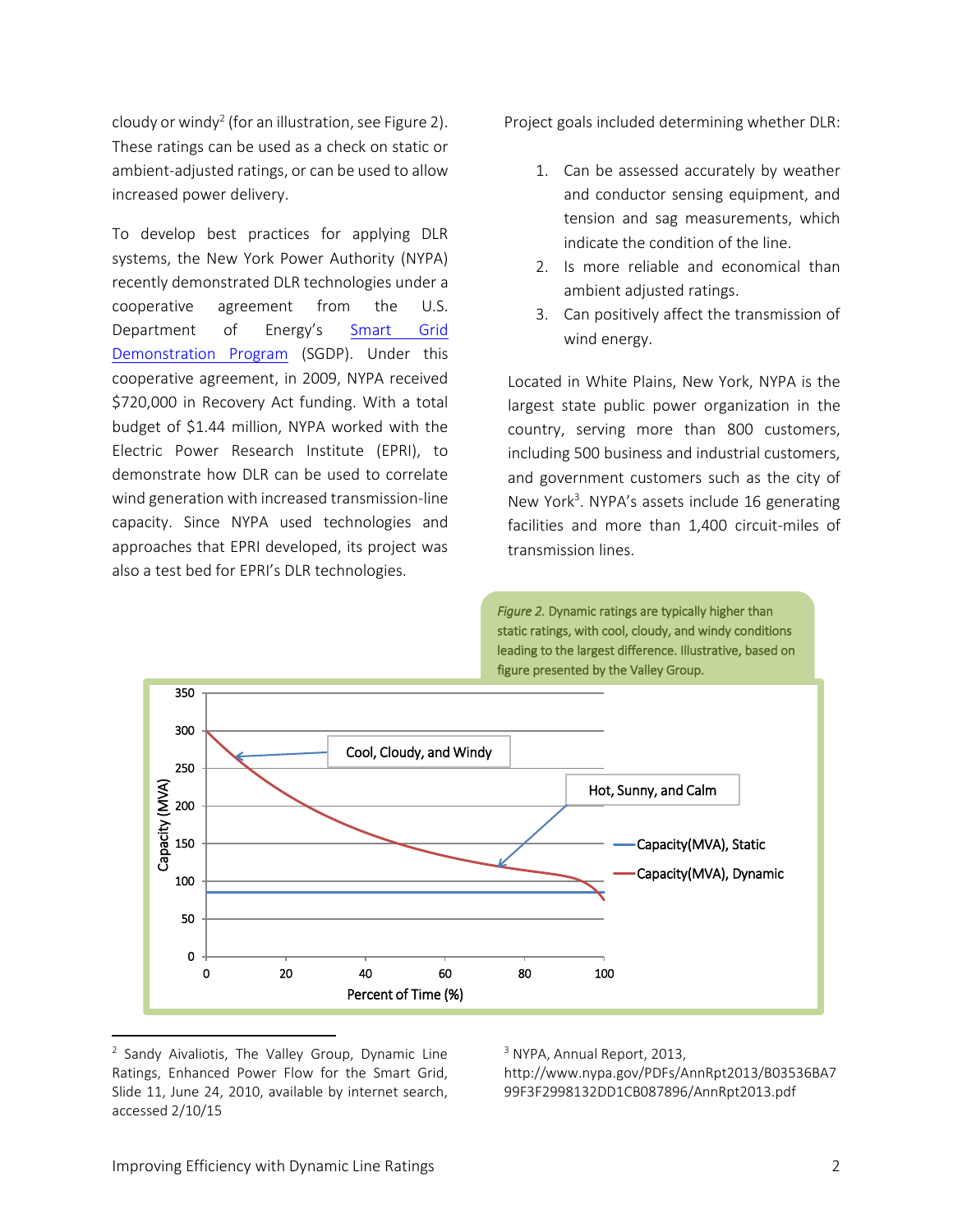cloudy or windy<sup>2</sup> (for an illustration, see Figure 2). These ratings can be used as a check on static or ambient-adjusted ratings, or can be used to allow increased power delivery.

To develop best practices for applying DLR systems, the [New York Power Authority](http://www.nypa.gov/) (NYPA) recently demonstrated DLR technologies under a cooperative agreement from the U.S. Department of Energy's Smart Grid [Demonstration Program](https://smartgrid.gov/recovery_act/overview/smart_grid_demonstration_program) (SGDP). Under this cooperative agreement, in 2009, NYPA received \$720,000 in Recovery Act funding. With a total budget of \$1.44 million, NYPA worked with the Electric Power Research Institute (EPRI), to demonstrate how DLR can be used to correlate wind generation with increased transmission-line capacity. Since NYPA used technologies and approaches that EPRI developed, its project was also a test bed for EPRI's DLR technologies.

Project goals included determining whether DLR:

- 1. Can be assessed accurately by weather and conductor sensing equipment, and tension and sag measurements, which indicate the condition of the line.
- 2. Is more reliable and economical than ambient adjusted ratings.
- 3. Can positively affect the transmission of wind energy.

Located in White Plains, New York, NYPA is the largest state public power organization in the country, serving more than 800 customers, including 500 business and industrial customers, and government customers such as the city of New York<sup>3</sup>. NYPA's assets include 16 generating facilities and more than 1,400 circuit-miles of transmission lines.

*Figure 2.* Dynamic ratings are typically higher than static ratings, with cool, cloudy, and windy conditions leading to the largest difference. Illustrative, based on figure presented by the Valley Group.



<sup>&</sup>lt;sup>2</sup> Sandy Aivaliotis, The Valley Group, Dynamic Line Ratings, Enhanced Power Flow for the Smart Grid, Slide 11, June 24, 2010, available by internet search, accessed 2/10/15

 $\overline{a}$ 

<sup>3</sup> NYPA, Annual Report, 2013,

http://www.nypa.gov/PDFs/AnnRpt2013/B03536BA7 99F3F2998132DD1CB087896/AnnRpt2013.pdf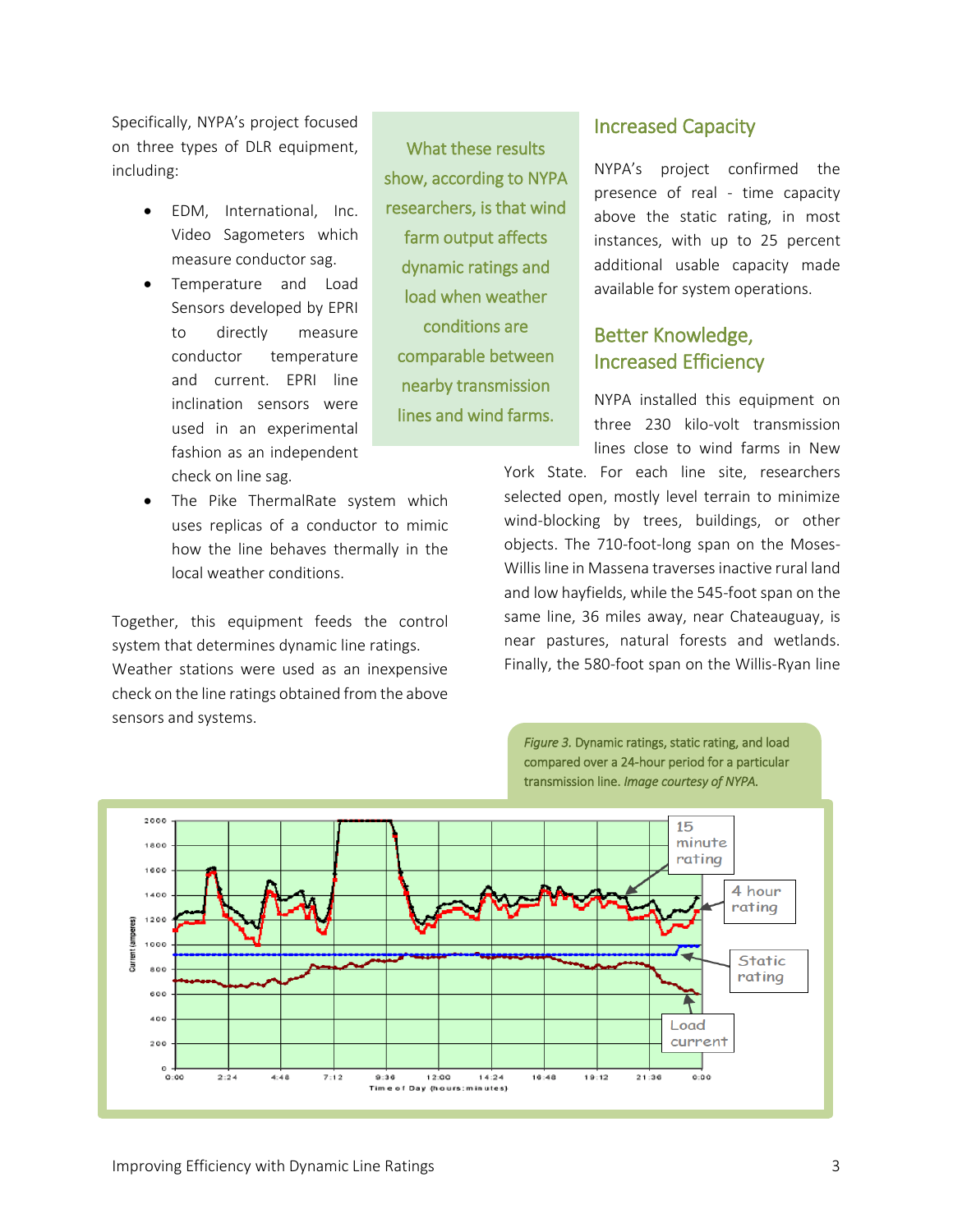Specifically, NYPA's project focused on three types of DLR equipment, including:

- EDM, International, Inc. Video Sagometers which measure conductor sag.
- Temperature and Load Sensors developed by EPRI to directly measure conductor temperature and current. EPRI line inclination sensors were used in an experimental fashion as an independent check on line sag.
- The Pike ThermalRate system which uses replicas of a conductor to mimic how the line behaves thermally in the local weather conditions.

Together, this equipment feeds the control system that determines dynamic line ratings. Weather stations were used as an inexpensive check on the line ratings obtained from the above sensors and systems.

What these results show, according to NYPA researchers, is that wind farm output affects dynamic ratings and load when weather conditions are comparable between nearby transmission lines and wind farms.

### Increased Capacity

NYPA's project confirmed the presence of real - time capacity above the static rating, in most instances, with up to 25 percent additional usable capacity made available for system operations.

# Better Knowledge, Increased Efficiency

NYPA installed this equipment on three 230 kilo-volt transmission lines close to wind farms in New

York State. For each line site, researchers selected open, mostly level terrain to minimize wind-blocking by trees, buildings, or other objects. The 710-foot-long span on the Moses-Willis line in Massena traverses inactive rural land and low hayfields, while the 545-foot span on the same line, 36 miles away, near Chateauguay, is near pastures, natural forests and wetlands. Finally, the 580-foot span on the Willis-Ryan line

*Figure 3.* Dynamic ratings, static rating, and load

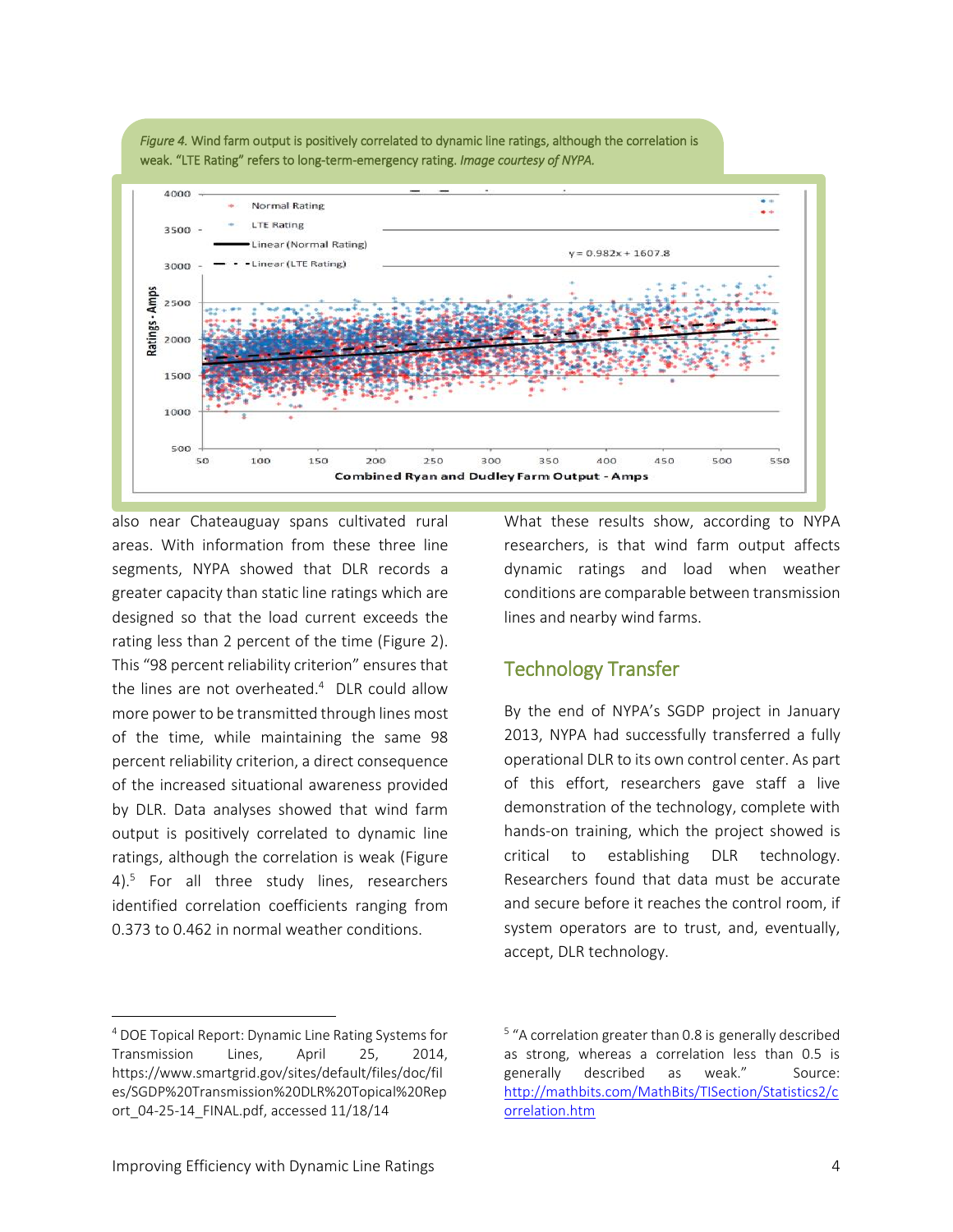



also near Chateauguay spans cultivated rural areas. With information from these three line segments, NYPA showed that DLR records a greater capacity than static line ratings which are designed so that the load current exceeds the rating less than 2 percent of the time (Figure 2). This "98 percent reliability criterion" ensures that the lines are not overheated.<sup>4</sup> DLR could allow more power to be transmitted through lines most of the time, while maintaining the same 98 percent reliability criterion, a direct consequence of the increased situational awareness provided by DLR. Data analyses showed that wind farm output is positively correlated to dynamic line ratings, although the correlation is weak (Figure 4). 5 For all three study lines, researchers identified correlation coefficients ranging from 0.373 to 0.462 in normal weather conditions.

What these results show, according to NYPA researchers, is that wind farm output affects dynamic ratings and load when weather conditions are comparable between transmission lines and nearby wind farms.

# Technology Transfer

By the end of NYPA's SGDP project in January 2013, NYPA had successfully transferred a fully operational DLR to its own control center. As part of this effort, researchers gave staff a live demonstration of the technology, complete with hands-on training, which the project showed is critical to establishing DLR technology. Researchers found that data must be accurate and secure before it reaches the control room, if system operators are to trust, and, eventually, accept, DLR technology.

l

<sup>4</sup> DOE Topical Report: Dynamic Line Rating Systems for Transmission Lines, April 25, 2014, [https://www.smartgrid.gov/sites/default/files/doc/fil](https://www.smartgrid.gov/sites/default/files/doc/files/SGDP%20Transmission%20DLR%20Topical%20Report_04-25-14_FINAL.pdf) [es/SGDP%20Transmission%20DLR%20Topical%20Rep](https://www.smartgrid.gov/sites/default/files/doc/files/SGDP%20Transmission%20DLR%20Topical%20Report_04-25-14_FINAL.pdf) [ort\\_04-25-14\\_FINAL.pdf,](https://www.smartgrid.gov/sites/default/files/doc/files/SGDP%20Transmission%20DLR%20Topical%20Report_04-25-14_FINAL.pdf) accessed 11/18/14

<sup>&</sup>lt;sup>5</sup> "A correlation greater than 0.8 is generally described as strong, whereas a correlation less than 0.5 is generally described as weak." Source: [http://mathbits.com/MathBits/TISection/Statistics2/c](http://mathbits.com/MathBits/TISection/Statistics2/correlation.htm) [orrelation.htm](http://mathbits.com/MathBits/TISection/Statistics2/correlation.htm)